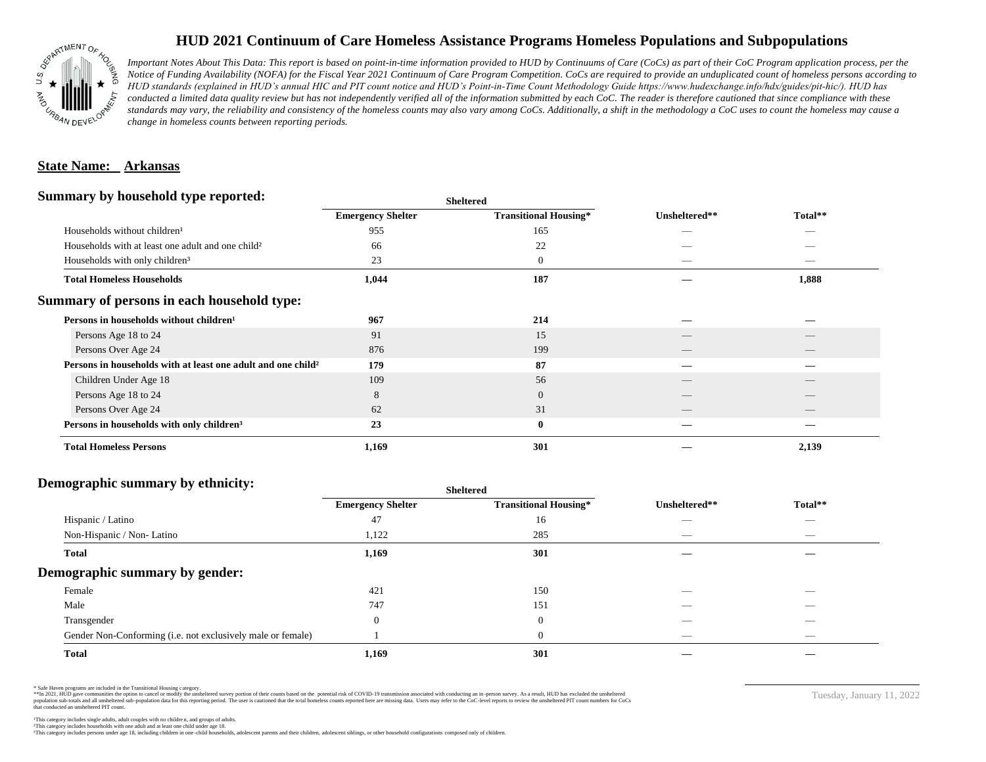

# **HUD 2021 Continuum of Care Homeless Assistance Programs Homeless Populations and Subpopulations**

*Important Notes About This Data: This report is based on point-in-time information provided to HUD by Continuums of Care (CoCs) as part of their CoC Program application process, per the Notice of Funding Availability (NOFA) for the Fiscal Year 2021 Continuum of Care Program Competition. CoCs are required to provide an unduplicated count of homeless persons according to HUD standards (explained in HUD's annual HIC and PIT count notice and HUD's Point-in-Time Count Methodology Guide https://www.hudexchange.info/hdx/guides/pit-hic/). HUD has*  conducted a limited data quality review but has not independently verified all of the information submitted by each CoC. The reader is therefore cautioned that since compliance with these standards may vary, the reliability and consistency of the homeless counts may also vary among CoCs. Additionally, a shift in the methodology a CoC uses to count the homeless may cause a *change in homeless counts between reporting periods.*

#### **State Name: Arkansas**

#### **Summary by household type reported:**

|                                                                          |                          | patter                       |               |                          |  |
|--------------------------------------------------------------------------|--------------------------|------------------------------|---------------|--------------------------|--|
|                                                                          | <b>Emergency Shelter</b> | <b>Transitional Housing*</b> | Unsheltered** | Total**                  |  |
| Households without children <sup>1</sup>                                 | 955                      | 165                          | _             |                          |  |
| Households with at least one adult and one child <sup>2</sup>            | 66                       | 22                           |               |                          |  |
| Households with only children <sup>3</sup>                               | 23                       | $\boldsymbol{0}$             |               | _                        |  |
| <b>Total Homeless Households</b>                                         | 1,044                    | 187                          |               | 1,888                    |  |
| Summary of persons in each household type:                               |                          |                              |               |                          |  |
| Persons in households without children <sup>1</sup>                      | 967                      | 214                          |               |                          |  |
| Persons Age 18 to 24                                                     | 91                       | 15                           |               |                          |  |
| Persons Over Age 24                                                      | 876                      | 199                          |               |                          |  |
| Persons in households with at least one adult and one child <sup>2</sup> | 179                      | 87                           |               |                          |  |
| Children Under Age 18                                                    | 109                      | 56                           |               |                          |  |
| Persons Age 18 to 24                                                     | 8                        | $\overline{0}$               |               |                          |  |
| Persons Over Age 24                                                      | 62                       | 31                           |               | $\overline{\phantom{a}}$ |  |
| Persons in households with only children <sup>3</sup>                    | 23                       | $\bf{0}$                     |               |                          |  |
| <b>Total Homeless Persons</b>                                            | 1,169                    | 301                          |               | 2,139                    |  |
|                                                                          |                          |                              |               |                          |  |

**Sheltered**

### **Demographic summary by ethnicity:**

| ັ<br>. .<br>$\bullet$<br>. .<br>$\ddot{\phantom{1}}$        | Sneitered                |                              |                                 |                                |
|-------------------------------------------------------------|--------------------------|------------------------------|---------------------------------|--------------------------------|
|                                                             | <b>Emergency Shelter</b> | <b>Transitional Housing*</b> | Unsheltered**                   | Total**                        |
| Hispanic / Latino                                           | 47                       | 16                           | _                               | $\overbrace{\hspace{25mm}}^{}$ |
| Non-Hispanic / Non-Latino                                   | 1,122                    | 285                          | $\hspace{0.1mm}-\hspace{0.1mm}$ | $\overbrace{\hspace{25mm}}^{}$ |
| <b>Total</b>                                                | 1,169                    | 301                          |                                 |                                |
| Demographic summary by gender:                              |                          |                              |                                 |                                |
| Female                                                      | 421                      | 150                          | ___                             | $-$                            |
| Male                                                        | 747                      | 151                          | __                              |                                |
| Transgender                                                 | $\Omega$                 | $\overline{0}$               | $\hspace{0.05cm}$               | $\overbrace{\hspace{25mm}}^{}$ |
| Gender Non-Conforming (i.e. not exclusively male or female) |                          | $\overline{0}$               | $\hspace{0.05cm}$               | $\overbrace{\hspace{25mm}}^{}$ |
| <b>Total</b>                                                | 1,169                    | 301                          |                                 |                                |

**Sheltered**

\* Safe Haven programs are included in the Transitional Housing category.

\*\*In 2021, HUD gave communities the option to cancel or modify the unsheltered survey portion of their counts based on the potential risk of COVID-19 transmission associated with conducting an in-person survey. As a result n political data for this reporting period. The user is cautioned that the total homeless counts reported here are missing data. Users may refer to the CoC-level reports to review the unshellered PIT count numbers for CoCs that conducted an unsheltered PIT count.

Tuesday, January 11, 2022